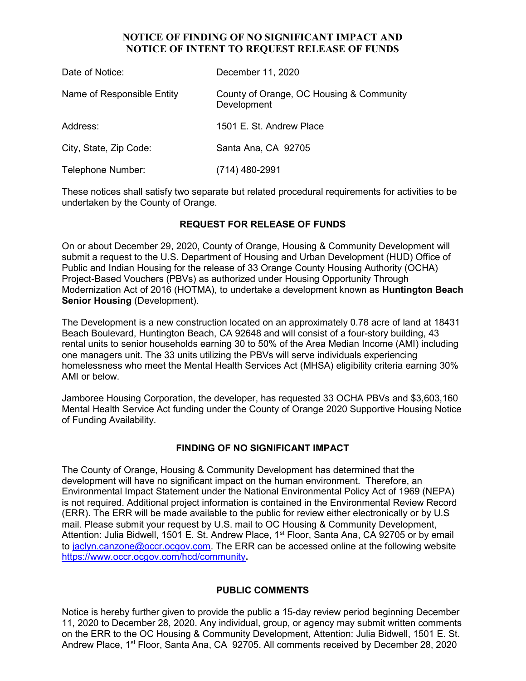## NOTICE OF FINDING OF NO SIGNIFICANT IMPACT AND NOTICE OF INTENT TO REQUEST RELEASE OF FUNDS

| Date of Notice:            | December 11, 2020                                       |
|----------------------------|---------------------------------------------------------|
| Name of Responsible Entity | County of Orange, OC Housing & Community<br>Development |
| Address:                   | 1501 E. St. Andrew Place                                |
| City, State, Zip Code:     | Santa Ana, CA 92705                                     |
| Telephone Number:          | (714) 480-2991                                          |

These notices shall satisfy two separate but related procedural requirements for activities to be undertaken by the County of Orange.

# REQUEST FOR RELEASE OF FUNDS

On or about December 29, 2020, County of Orange, Housing & Community Development will submit a request to the U.S. Department of Housing and Urban Development (HUD) Office of Public and Indian Housing for the release of 33 Orange County Housing Authority (OCHA) Project-Based Vouchers (PBVs) as authorized under Housing Opportunity Through Modernization Act of 2016 (HOTMA), to undertake a development known as Huntington Beach Senior Housing (Development).

The Development is a new construction located on an approximately 0.78 acre of land at 18431 Beach Boulevard, Huntington Beach, CA 92648 and will consist of a four-story building, 43 rental units to senior households earning 30 to 50% of the Area Median Income (AMI) including one managers unit. The 33 units utilizing the PBVs will serve individuals experiencing homelessness who meet the Mental Health Services Act (MHSA) eligibility criteria earning 30% AMI or below.

Jamboree Housing Corporation, the developer, has requested 33 OCHA PBVs and \$3,603,160 Mental Health Service Act funding under the County of Orange 2020 Supportive Housing Notice of Funding Availability.

### FINDING OF NO SIGNIFICANT IMPACT

The County of Orange, Housing & Community Development has determined that the development will have no significant impact on the human environment. Therefore, an Environmental Impact Statement under the National Environmental Policy Act of 1969 (NEPA) is not required. Additional project information is contained in the Environmental Review Record (ERR). The ERR will be made available to the public for review either electronically or by U.S mail. Please submit your request by U.S. mail to OC Housing & Community Development, Attention: Julia Bidwell, 1501 E. St. Andrew Place, 1<sup>st</sup> Floor, Santa Ana, CA 92705 or by email to jaclyn.canzone@occr.ocgov.com. The ERR can be accessed online at the following website https://www.occr.ocgov.com/hcd/community.

### PUBLIC COMMENTS

Notice is hereby further given to provide the public a 15-day review period beginning December 11, 2020 to December 28, 2020. Any individual, group, or agency may submit written comments on the ERR to the OC Housing & Community Development, Attention: Julia Bidwell, 1501 E. St. Andrew Place, 1<sup>st</sup> Floor, Santa Ana, CA 92705. All comments received by December 28, 2020